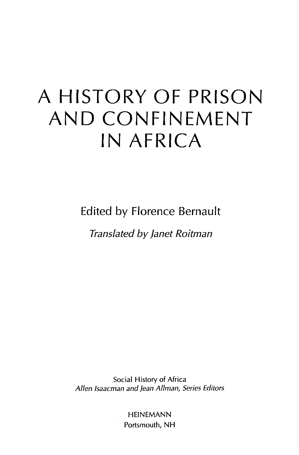## A HISTORYOF PRISON AND CONFINEMENT IN AFRICA

Edited by Florence Bernault

Translated by Janet Roitman

Social History of Africa Allen Isaacman and Jean Allman, Series Editors

> HEINEMANN Portsmouth, NH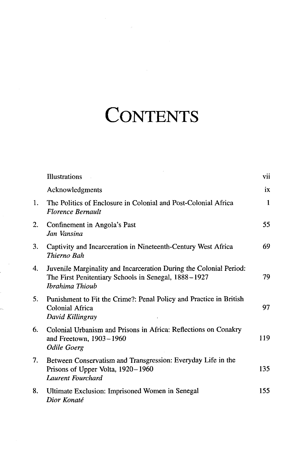## **CONTENTS**

|    | Illustrations                                                                                                                                 | vii |
|----|-----------------------------------------------------------------------------------------------------------------------------------------------|-----|
|    | Acknowledgments                                                                                                                               | ix  |
| 1. | The Politics of Enclosure in Colonial and Post-Colonial Africa<br><b>Florence Bernault</b>                                                    | 1   |
| 2. | Confinement in Angola's Past<br>Jan Vansina                                                                                                   | 55  |
| 3. | Captivity and Incarceration in Nineteenth-Century West Africa<br>Thierno Bah                                                                  | 69  |
| 4. | Juvenile Marginality and Incarceration During the Colonial Period:<br>The First Penitentiary Schools in Senegal, 1888-1927<br>Ibrahima Thioub | 79  |
| 5. | Punishment to Fit the Crime?: Penal Policy and Practice in British<br>Colonial Africa<br>David Killingray                                     | 97  |
| 6. | Colonial Urbanism and Prisons in Africa: Reflections on Conakry<br>and Freetown, 1903-1960<br><b>Odile Goerg</b>                              | 119 |
| 7. | Between Conservatism and Transgression: Everyday Life in the<br>Prisons of Upper Volta, 1920–1960<br>Laurent Fourchard                        | 135 |
| 8. | Ultimate Exclusion: Imprisoned Women in Senegal<br>Dior Konaté                                                                                | 155 |